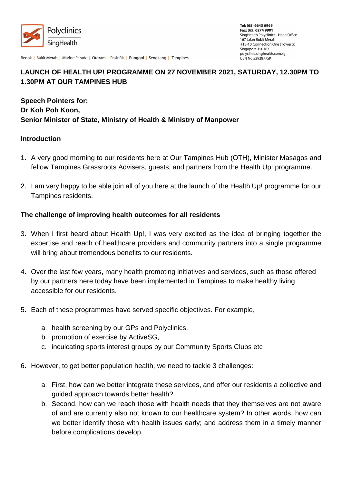

Bedok | Bukit Merah | Marine Parade | Outram | Pasir Ris | Punggol | Sengkang | Tampines

# **LAUNCH OF HEALTH UP! PROGRAMME ON 27 NOVEMBER 2021, SATURDAY, 12.30PM TO 1.30PM AT OUR TAMPINES HUB**

**Speech Pointers for: Dr Koh Poh Koon, Senior Minister of State, Ministry of Health & Ministry of Manpower** 

#### **Introduction**

- 1. A very good morning to our residents here at Our Tampines Hub (OTH), Minister Masagos and fellow Tampines Grassroots Advisers, guests, and partners from the Health Up! programme.
- 2. I am very happy to be able join all of you here at the launch of the Health Up! programme for our Tampines residents.

#### **The challenge of improving health outcomes for all residents**

- 3. When I first heard about Health Up!, I was very excited as the idea of bringing together the expertise and reach of healthcare providers and community partners into a single programme will bring about tremendous benefits to our residents.
- 4. Over the last few years, many health promoting initiatives and services, such as those offered by our partners here today have been implemented in Tampines to make healthy living accessible for our residents.
- 5. Each of these programmes have served specific objectives. For example,
	- a. health screening by our GPs and Polyclinics,
	- b. promotion of exercise by ActiveSG,
	- c. inculcating sports interest groups by our Community Sports Clubs etc
- 6. However, to get better population health, we need to tackle 3 challenges:
	- a. First, how can we better integrate these services, and offer our residents a collective and guided approach towards better health?
	- b. Second, how can we reach those with health needs that they themselves are not aware of and are currently also not known to our healthcare system? In other words, how can we better identify those with health issues early; and address them in a timely manner before complications develop.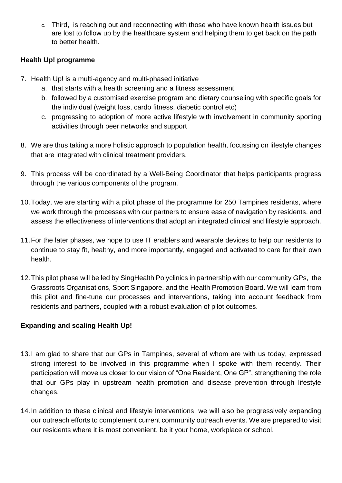c. Third, is reaching out and reconnecting with those who have known health issues but are lost to follow up by the healthcare system and helping them to get back on the path to better health.

### **Health Up! programme**

- 7. Health Up! is a multi-agency and multi-phased initiative
	- a. that starts with a health screening and a fitness assessment,
	- b. followed by a customised exercise program and dietary counseling with specific goals for the individual (weight loss, cardo fitness, diabetic control etc)
	- c. progressing to adoption of more active lifestyle with involvement in community sporting activities through peer networks and support
- 8. We are thus taking a more holistic approach to population health, focussing on lifestyle changes that are integrated with clinical treatment providers.
- 9. This process will be coordinated by a Well-Being Coordinator that helps participants progress through the various components of the program.
- 10.Today, we are starting with a pilot phase of the programme for 250 Tampines residents, where we work through the processes with our partners to ensure ease of navigation by residents, and assess the effectiveness of interventions that adopt an integrated clinical and lifestyle approach.
- 11.For the later phases, we hope to use IT enablers and wearable devices to help our residents to continue to stay fit, healthy, and more importantly, engaged and activated to care for their own health.
- 12.This pilot phase will be led by SingHealth Polyclinics in partnership with our community GPs, the Grassroots Organisations, Sport Singapore, and the Health Promotion Board. We will learn from this pilot and fine-tune our processes and interventions, taking into account feedback from residents and partners, coupled with a robust evaluation of pilot outcomes.

## **Expanding and scaling Health Up!**

- 13.I am glad to share that our GPs in Tampines, several of whom are with us today, expressed strong interest to be involved in this programme when I spoke with them recently. Their participation will move us closer to our vision of "One Resident, One GP", strengthening the role that our GPs play in upstream health promotion and disease prevention through lifestyle changes.
- 14.In addition to these clinical and lifestyle interventions, we will also be progressively expanding our outreach efforts to complement current community outreach events. We are prepared to visit our residents where it is most convenient, be it your home, workplace or school.